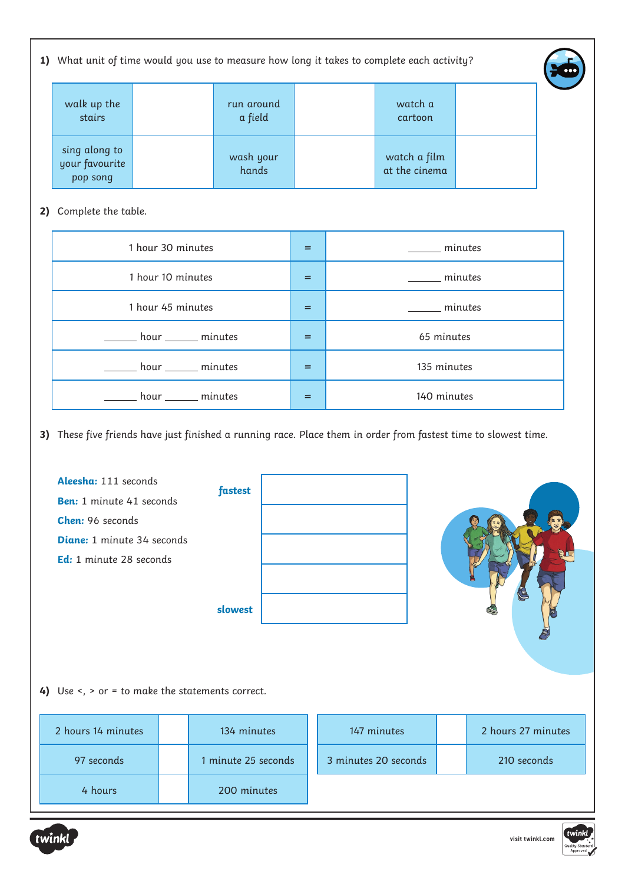1) What unit of time would you use to measure how long it takes to complete each activity?



| walk up the<br>stairs                       | run around<br>a field | watch a<br>cartoon            |  |
|---------------------------------------------|-----------------------|-------------------------------|--|
| sing along to<br>your favourite<br>pop song | wash your<br>hands    | watch a film<br>at the cinema |  |

## 2) Complete the table.

| 1 hour 30 minutes           | $=$ | ______ minutes        |
|-----------------------------|-----|-----------------------|
| 1 hour 10 minutes           | $=$ | $\frac{1}{2}$ minutes |
| 1 hour 45 minutes           | $=$ | minutes               |
| hour minutes                | $=$ | 65 minutes            |
| ______ hour _______ minutes | $=$ | 135 minutes           |
| ______ hour _______ minutes | =   | 140 minutes           |

**3)** These five friends have just finished a running race. Place them in order from fastest time to slowest time.

**Aleesha:** 111 seconds **Ben:** 1 minute 41 seconds **Chen:** 96 seconds **Diane:** 1 minute 34 seconds **Ed:** 1 minute 28 seconds **fastest slowest**



4) Use <, > or = to make the statements correct.

| 2 hours 14 minutes | 134 minutes         | 147 minutes          | 2 hours 27 minutes |
|--------------------|---------------------|----------------------|--------------------|
| 97 seconds         | 1 minute 25 seconds | 3 minutes 20 seconds | 210 seconds        |
| 4 hours            | 200 minutes         |                      |                    |



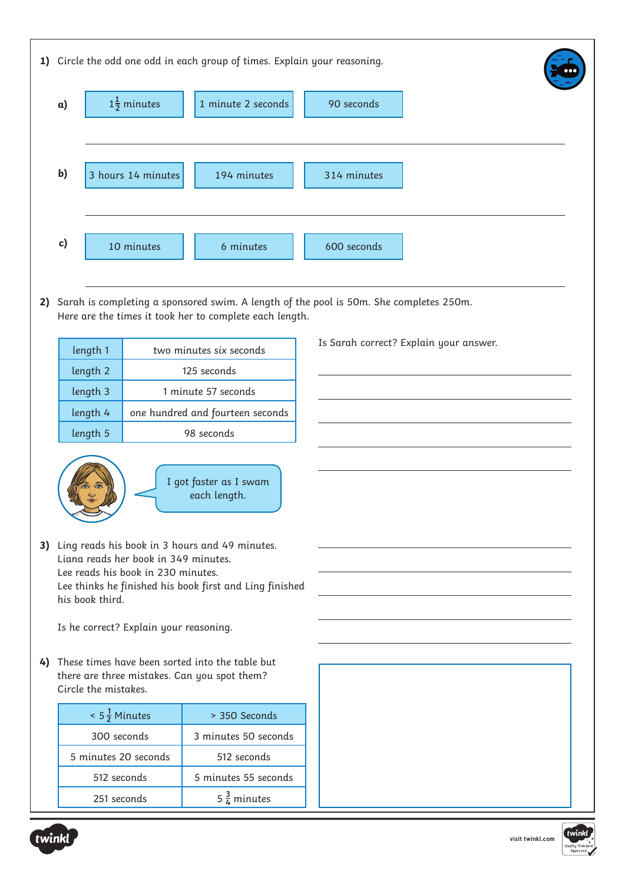|                                                                                                                            | 1) Circle the odd one odd in each group of times. Explain your reasoning.                                                                         |            |                         |             |                                        |  |  |  |  |
|----------------------------------------------------------------------------------------------------------------------------|---------------------------------------------------------------------------------------------------------------------------------------------------|------------|-------------------------|-------------|----------------------------------------|--|--|--|--|
|                                                                                                                            | $1\frac{1}{2}$ minutes<br>1 minute 2 seconds<br>90 seconds<br>$\alpha$ )                                                                          |            |                         |             |                                        |  |  |  |  |
|                                                                                                                            | $\mathbf{b}$<br>3 hours 14 minutes                                                                                                                |            | 194 minutes             | 314 minutes |                                        |  |  |  |  |
|                                                                                                                            | $\mathbf{c}$<br>10 minutes                                                                                                                        |            | 6 minutes               | 600 seconds |                                        |  |  |  |  |
| 2)                                                                                                                         | Sarah is completing a sponsored swim. A length of the pool is 50m. She completes 250m.<br>Here are the times it took her to complete each length. |            |                         |             |                                        |  |  |  |  |
|                                                                                                                            | length 1                                                                                                                                          |            | two minutes six seconds |             | Is Sarah correct? Explain your answer. |  |  |  |  |
|                                                                                                                            | length 2<br>125 seconds                                                                                                                           |            |                         |             |                                        |  |  |  |  |
|                                                                                                                            | length 3<br>1 minute 57 seconds<br>length 4<br>one hundred and fourteen seconds                                                                   |            |                         |             |                                        |  |  |  |  |
|                                                                                                                            | length 5                                                                                                                                          | 98 seconds |                         |             |                                        |  |  |  |  |
|                                                                                                                            |                                                                                                                                                   |            |                         |             |                                        |  |  |  |  |
|                                                                                                                            | I got faster as I swam<br>each length.                                                                                                            |            |                         |             |                                        |  |  |  |  |
|                                                                                                                            | 3) Ling reads his book in 3 hours and 49 minutes.                                                                                                 |            |                         |             |                                        |  |  |  |  |
|                                                                                                                            | Liana reads her book in 349 minutes.<br>Lee reads his book in 230 minutes.                                                                        |            |                         |             |                                        |  |  |  |  |
|                                                                                                                            | Lee thinks he finished his book first and Ling finished                                                                                           |            |                         |             |                                        |  |  |  |  |
|                                                                                                                            | his book third.                                                                                                                                   |            |                         |             |                                        |  |  |  |  |
|                                                                                                                            | Is he correct? Explain your reasoning.                                                                                                            |            |                         |             |                                        |  |  |  |  |
| 4) These times have been sorted into the table but<br>there are three mistakes. Can you spot them?<br>Circle the mistakes. |                                                                                                                                                   |            |                         |             |                                        |  |  |  |  |
|                                                                                                                            | $< 5\frac{1}{2}$ Minutes                                                                                                                          |            | > 350 Seconds           |             |                                        |  |  |  |  |
|                                                                                                                            | 300 seconds                                                                                                                                       |            | 3 minutes 50 seconds    |             |                                        |  |  |  |  |
|                                                                                                                            | 5 minutes 20 seconds                                                                                                                              |            | 512 seconds             |             |                                        |  |  |  |  |
|                                                                                                                            | 512 seconds                                                                                                                                       |            | 5 minutes 55 seconds    |             |                                        |  |  |  |  |
|                                                                                                                            | 251 seconds                                                                                                                                       |            | $5\frac{3}{4}$ minutes  |             |                                        |  |  |  |  |
|                                                                                                                            |                                                                                                                                                   |            |                         |             |                                        |  |  |  |  |